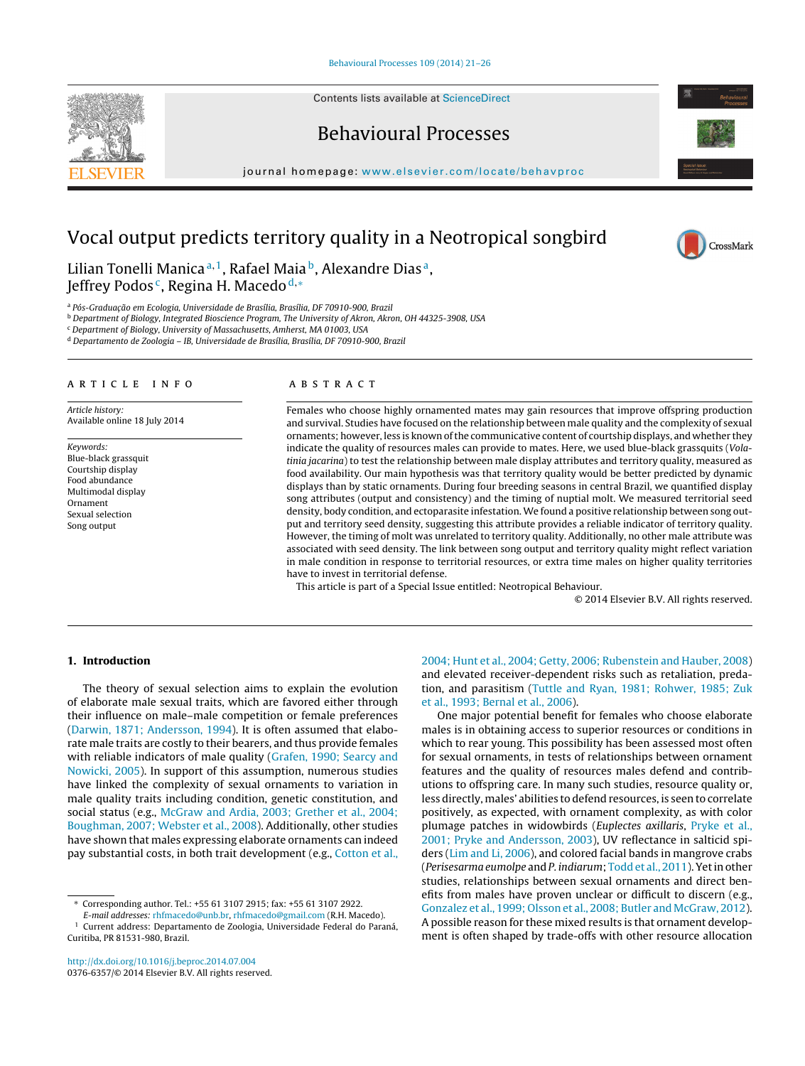Contents lists available at [ScienceDirect](http://www.sciencedirect.com/science/journal/03766357)





journal homepage: [www.elsevier.com/locate/behavproc](http://www.elsevier.com/locate/behavproc)



Lilian Tonelli Manica<sup>a, 1</sup>, Rafael Maia<sup>b</sup>, Alexandre Dias<sup>a</sup>, Jeffrey Podos<sup>c</sup>, Regina H. Macedo<sup>d,\*</sup>

<sup>a</sup> Pós-Graduação em Ecologia, Universidade de Brasília, Brasília, DF 70910-900, Brazil

<sup>b</sup> Department of Biology, Integrated Bioscience Program, The University of Akron, Akron, OH 44325-3908, USA

<sup>c</sup> Department of Biology, University of Massachusetts, Amherst, MA 01003, USA

<sup>d</sup> Departamento de Zoologia – IB, Universidade de Brasília, Brasília, DF 70910-900, Brazil

#### a r t i c l e i n f o

Article history: Available online 18 July 2014

Keywords: Blue-black grassquit Courtship display Food abundance Multimodal display Ornament Sexual selection Song output

## A B S T R A C T

Females who choose highly ornamented mates may gain resources that improve offspring production and survival. Studies have focused on the relationship between male quality and the complexity of sexual ornaments; however, less is known ofthe communicative content of courtship displays, and whether they indicate the quality of resources males can provide to mates. Here, we used blue-black grassquits (Volatinia jacarina) to test the relationship between male display attributes and territory quality, measured as food availability. Our main hypothesis was that territory quality would be better predicted by dynamic displays than by static ornaments. During four breeding seasons in central Brazil, we quantified display song attributes (output and consistency) and the timing of nuptial molt. We measured territorial seed density, body condition, and ectoparasite infestation. We found a positive relationship between song output and territory seed density, suggesting this attribute provides a reliable indicator of territory quality. However, the timing of molt was unrelated to territory quality. Additionally, no other male attribute was associated with seed density. The link between song output and territory quality might reflect variation in male condition in response to territorial resources, or extra time males on higher quality territories have to invest in territorial defense.

This article is part of a Special Issue entitled: Neotropical Behaviour.

© 2014 Elsevier B.V. All rights reserved.

## **1. Introduction**

The theory of sexual selection aims to explain the evolution of elaborate male sexual traits, which are favored either through their influence on male–male competition or female preferences ([Darwin,](#page-5-0) [1871;](#page-5-0) [Andersson,](#page-5-0) [1994\).](#page-5-0) It is often assumed that elaborate male traits are costly to their bearers, and thus provide females with reliable indicators of male quality [\(Grafen,](#page-5-0) [1990;](#page-5-0) [Searcy](#page-5-0) [and](#page-5-0) [Nowicki,](#page-5-0) [2005\).](#page-5-0) In support of this assumption, numerous studies have linked the complexity of sexual ornaments to variation in male quality traits including condition, genetic constitution, and social status (e.g., [McGraw](#page-5-0) [and](#page-5-0) [Ardia,](#page-5-0) [2003;](#page-5-0) [Grether](#page-5-0) et [al.,](#page-5-0) [2004;](#page-5-0) [Boughman,](#page-5-0) [2007;](#page-5-0) [Webster](#page-5-0) et [al.,](#page-5-0) [2008\).](#page-5-0) Additionally, other studies have shown that males expressing elaborate ornaments can indeed pay substantial costs, in both trait development (e.g., [Cotton](#page-5-0) et [al.,](#page-5-0)

∗ Corresponding author. Tel.: +55 61 3107 2915; fax: +55 61 3107 2922.

E-mail addresses: [rhfmacedo@unb.br,](mailto:rhfmacedo@unb.br) [rhfmacedo@gmail.com](mailto:rhfmacedo@gmail.com) (R.H. Macedo). <sup>1</sup> Current address: Departamento de Zoologia, Universidade Federal do Paraná, Curitiba, PR 81531-980, Brazil.

[2004;](#page-5-0) [Hunt](#page-5-0) et [al.,](#page-5-0) [2004;](#page-5-0) [Getty,](#page-5-0) [2006;](#page-5-0) [Rubenstein](#page-5-0) [and](#page-5-0) [Hauber,](#page-5-0) [2008\)](#page-5-0) and elevated receiver-dependent risks such as retaliation, predation, and parasitism ([Tuttle](#page-5-0) [and](#page-5-0) [Ryan,](#page-5-0) [1981;](#page-5-0) [Rohwer,](#page-5-0) [1985;](#page-5-0) [Zuk](#page-5-0) et [al.,](#page-5-0) [1993;](#page-5-0) [Bernal](#page-5-0) et [al.,](#page-5-0) [2006\).](#page-5-0)

One major potential benefit for females who choose elaborate males is in obtaining access to superior resources or conditions in which to rear young. This possibility has been assessed most often for sexual ornaments, in tests of relationships between ornament features and the quality of resources males defend and contributions to offspring care. In many such studies, resource quality or, less directly, males' abilities to defend resources, is seen to correlate positively, as expected, with ornament complexity, as with color plumage patches in widowbirds (Euplectes axillaris, [Pryke](#page-5-0) et [al.,](#page-5-0) [2001;](#page-5-0) [Pryke](#page-5-0) [and](#page-5-0) [Andersson,](#page-5-0) [2003\),](#page-5-0) UV reflectance in salticid spiders [\(Lim](#page-5-0) [and](#page-5-0) [Li,](#page-5-0) [2006\),](#page-5-0) and colored facial bands in mangrove crabs (Perisesarma eumolpe and P. indiarum; [Todd](#page-5-0) et [al.,](#page-5-0) [2011\).](#page-5-0) Yet in other studies, relationships between sexual ornaments and direct benefits from males have proven unclear or difficult to discern (e.g., [Gonzalez](#page-5-0) et [al.,](#page-5-0) [1999;](#page-5-0) [Olsson](#page-5-0) et [al.,](#page-5-0) [2008;](#page-5-0) [Butler](#page-5-0) [and](#page-5-0) [McGraw,](#page-5-0) [2012\).](#page-5-0) A possible reason for these mixed results is that ornament development is often shaped by trade-offs with other resource allocation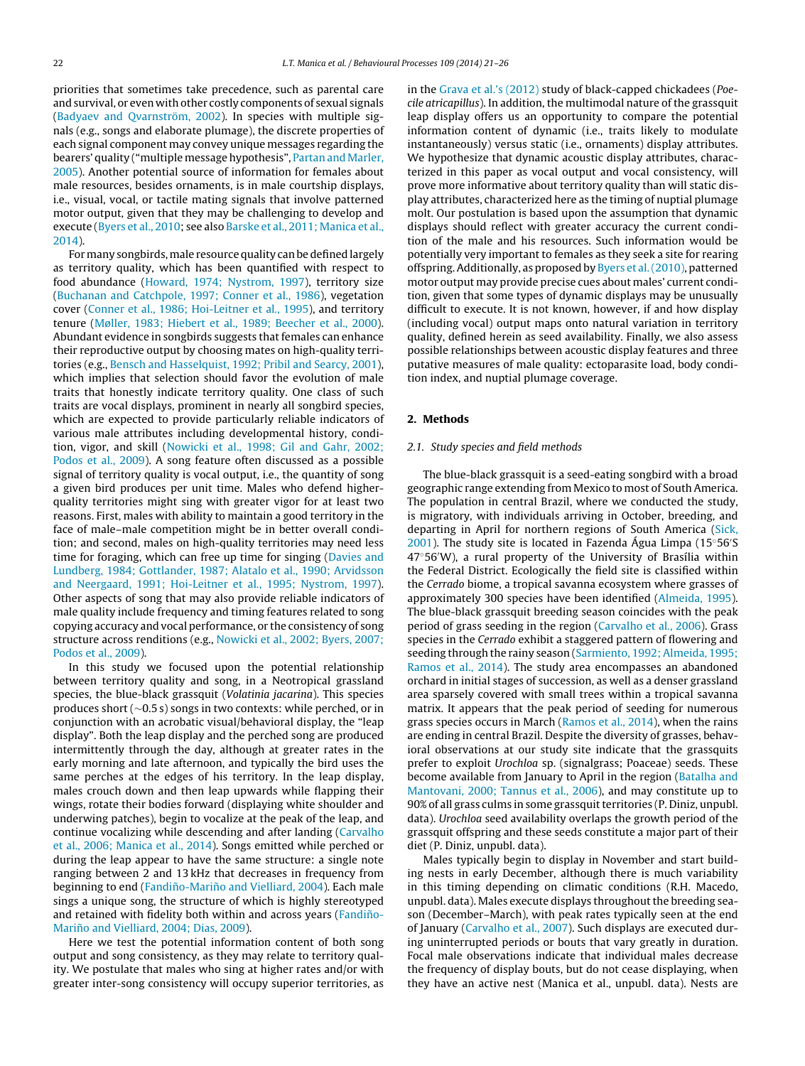priorities that sometimes take precedence, such as parental care and survival, or even with other costly components of sexual signals ([Badyaev](#page-5-0) [and](#page-5-0) [Qvarnström,](#page-5-0) [2002\).](#page-5-0) In species with multiple signals (e.g., songs and elaborate plumage), the discrete properties of each signal component may convey unique messages regarding the bearers' quality ("multiple message hypothesis", [Partan](#page-5-0) [and](#page-5-0) [Marler,](#page-5-0) [2005\).](#page-5-0) Another potential source of information for females about male resources, besides ornaments, is in male courtship displays, i.e., visual, vocal, or tactile mating signals that involve patterned motor output, given that they may be challenging to develop and execute [\(Byers](#page-5-0) et [al.,](#page-5-0) [2010;](#page-5-0) see also [Barske](#page-5-0) et [al.,](#page-5-0) [2011;](#page-5-0) [Manica](#page-5-0) et [al.,](#page-5-0) [2014\).](#page-5-0)

For many songbirds, male resource quality can be defined largely as territory quality, which has been quantified with respect to food abundance ([Howard,](#page-5-0) [1974;](#page-5-0) [Nystrom,](#page-5-0) [1997\),](#page-5-0) territory size ([Buchanan](#page-5-0) [and](#page-5-0) [Catchpole,](#page-5-0) [1997;](#page-5-0) [Conner](#page-5-0) et [al.,](#page-5-0) [1986\),](#page-5-0) vegetation cover ([Conner](#page-5-0) et [al.,](#page-5-0) [1986;](#page-5-0) [Hoi-Leitner](#page-5-0) [et](#page-5-0) [al](#page-5-0)., [1995\),](#page-5-0) and territory tenure [\(Møller,](#page-5-0) [1983;](#page-5-0) [Hiebert](#page-5-0) et [al.,](#page-5-0) [1989;](#page-5-0) [Beecher](#page-5-0) et [al.,](#page-5-0) [2000\).](#page-5-0) Abundant evidence in songbirds suggests that females can enhance their reproductive output by choosing mates on high-quality territories (e.g., [Bensch](#page-5-0) [and](#page-5-0) [Hasselquist,](#page-5-0) [1992;](#page-5-0) [Pribil](#page-5-0) [and](#page-5-0) [Searcy,](#page-5-0) [2001\),](#page-5-0) which implies that selection should favor the evolution of male traits that honestly indicate territory quality. One class of such traits are vocal displays, prominent in nearly all songbird species, which are expected to provide particularly reliable indicators of various male attributes including developmental history, condition, vigor, and skill [\(Nowicki](#page-5-0) et [al.,](#page-5-0) [1998;](#page-5-0) [Gil](#page-5-0) [and](#page-5-0) [Gahr,](#page-5-0) [2002;](#page-5-0) [Podos](#page-5-0) et [al.,](#page-5-0) [2009\).](#page-5-0) A song feature often discussed as a possible signal of territory quality is vocal output, i.e., the quantity of song a given bird produces per unit time. Males who defend higherquality territories might sing with greater vigor for at least two reasons. First, males with ability to maintain a good territory in the face of male–male competition might be in better overall condition; and second, males on high-quality territories may need less time for foraging, which can free up time for singing [\(Davies](#page-5-0) [and](#page-5-0) [Lundberg,](#page-5-0) [1984;](#page-5-0) [Gottlander,](#page-5-0) [1987;](#page-5-0) [Alatalo](#page-5-0) et [al.,](#page-5-0) [1990;](#page-5-0) [Arvidsson](#page-5-0) [and](#page-5-0) [Neergaard,](#page-5-0) [1991;](#page-5-0) [Hoi-Leitner](#page-5-0) [et](#page-5-0) [al](#page-5-0)., [1995;](#page-5-0) [Nystrom,](#page-5-0) [1997\).](#page-5-0) Other aspects of song that may also provide reliable indicators of male quality include frequency and timing features related to song copying accuracy and vocal performance, or the consistency of song structure across renditions (e.g., [Nowicki](#page-5-0) et [al.,](#page-5-0) [2002;](#page-5-0) [Byers,](#page-5-0) [2007;](#page-5-0) [Podos](#page-5-0) et [al.,](#page-5-0) [2009\).](#page-5-0)

In this study we focused upon the potential relationship between territory quality and song, in a Neotropical grassland species, the blue-black grassquit (Volatinia jacarina). This species produces short (∼0.5 s) songs in two contexts: while perched, or in conjunction with an acrobatic visual/behavioral display, the "leap display". Both the leap display and the perched song are produced intermittently through the day, although at greater rates in the early morning and late afternoon, and typically the bird uses the same perches at the edges of his territory. In the leap display, males crouch down and then leap upwards while flapping their wings, rotate their bodies forward (displaying white shoulder and underwing patches), begin to vocalize at the peak of the leap, and continue vocalizing while descending and after landing ([Carvalho](#page-5-0) et [al.,](#page-5-0) [2006;](#page-5-0) [Manica](#page-5-0) et [al.,](#page-5-0) [2014\).](#page-5-0) Songs emitted while perched or during the leap appear to have the same structure: a single note ranging between 2 and 13 kHz that decreases in frequency from beginning to end (F[and](#page-5-0)iño-Mariño and [Vielliard,](#page-5-0) [2004\).](#page-5-0) Each male sings a unique song, the structure of which is highly stereotyped and retained with fidelity both within and across years (FandiñoMariño [and](#page-5-0) [Vielliard,](#page-5-0) [2004;](#page-5-0) [Dias,](#page-5-0) [2009\).](#page-5-0)

Here we test the potential information content of both song output and song consistency, as they may relate to territory quality. We postulate that males who sing at higher rates and/or with greater inter-song consistency will occupy superior territories, as in the [Grava](#page-5-0) et [al.'s](#page-5-0) [\(2012\)](#page-5-0) study of black-capped chickadees (Poecile atricapillus). In addition, the multimodal nature of the grassquit leap display offers us an opportunity to compare the potential information content of dynamic (i.e., traits likely to modulate instantaneously) versus static (i.e., ornaments) display attributes. We hypothesize that dynamic acoustic display attributes, characterized in this paper as vocal output and vocal consistency, will prove more informative about territory quality than will static display attributes, characterized here as the timing of nuptial plumage molt. Our postulation is based upon the assumption that dynamic displays should reflect with greater accuracy the current condition of the male and his resources. Such information would be potentially very important to females as they seek a site for rearing offspring.Additionally, as proposed by [Byers](#page-5-0) et [al.\(2010\),](#page-5-0) patterned motor output may provide precise cues about males' current condition, given that some types of dynamic displays may be unusually difficult to execute. It is not known, however, if and how display (including vocal) output maps onto natural variation in territory quality, defined herein as seed availability. Finally, we also assess possible relationships between acoustic display features and three putative measures of male quality: ectoparasite load, body condition index, and nuptial plumage coverage.

## **2. Methods**

#### 2.1. Study species and field methods

The blue-black grassquit is a seed-eating songbird with a broad geographic range extending from Mexico to most of South America. The population in central Brazil, where we conducted the study, is migratory, with individuals arriving in October, breeding, and departing in April for northern regions of South America ([Sick,](#page-5-0) [2001\).](#page-5-0) The study site is located in Fazenda Água Limpa (15◦56 S 47◦56 W), a rural property of the University of Brasília within the Federal District. Ecologically the field site is classified within the Cerrado biome, a tropical savanna ecosystem where grasses of approximately 300 species have been identified [\(Almeida,](#page-4-0) [1995\).](#page-4-0) The blue-black grassquit breeding season coincides with the peak period of grass seeding in the region ([Carvalho](#page-5-0) [et](#page-5-0) [al](#page-5-0)., [2006\).](#page-5-0) Grass species in the Cerrado exhibit a staggered pattern of flowering and seeding through the rainy season ([Sarmiento,](#page-5-0) [1992;](#page-5-0) [Almeida,](#page-5-0) [1995;](#page-5-0) [Ramos](#page-5-0) et [al.,](#page-5-0) [2014\).](#page-5-0) The study area encompasses an abandoned orchard in initial stages of succession, as well as a denser grassland area sparsely covered with small trees within a tropical savanna matrix. It appears that the peak period of seeding for numerous grass species occurs in March [\(Ramos](#page-5-0) et [al.,](#page-5-0) [2014\),](#page-5-0) when the rains are ending in central Brazil. Despite the diversity of grasses, behavioral observations at our study site indicate that the grassquits prefer to exploit Urochloa sp. (signalgrass; Poaceae) seeds. These become available from January to April in the region ([Batalha](#page-5-0) [and](#page-5-0) [Mantovani,](#page-5-0) [2000;](#page-5-0) [Tannus](#page-5-0) et [al.,](#page-5-0) [2006\),](#page-5-0) and may constitute up to 90% of all grass culms in some grassquit territories (P. Diniz, unpubl. data). Urochloa seed availability overlaps the growth period of the grassquit offspring and these seeds constitute a major part of their diet (P. Diniz, unpubl. data).

Males typically begin to display in November and start building nests in early December, although there is much variability in this timing depending on climatic conditions (R.H. Macedo, unpubl. data). Males execute displays throughout the breeding season (December–March), with peak rates typically seen at the end of January ([Carvalho](#page-5-0) et [al.,](#page-5-0) [2007\).](#page-5-0) Such displays are executed during uninterrupted periods or bouts that vary greatly in duration. Focal male observations indicate that individual males decrease the frequency of display bouts, but do not cease displaying, when they have an active nest (Manica et al., unpubl. data). Nests are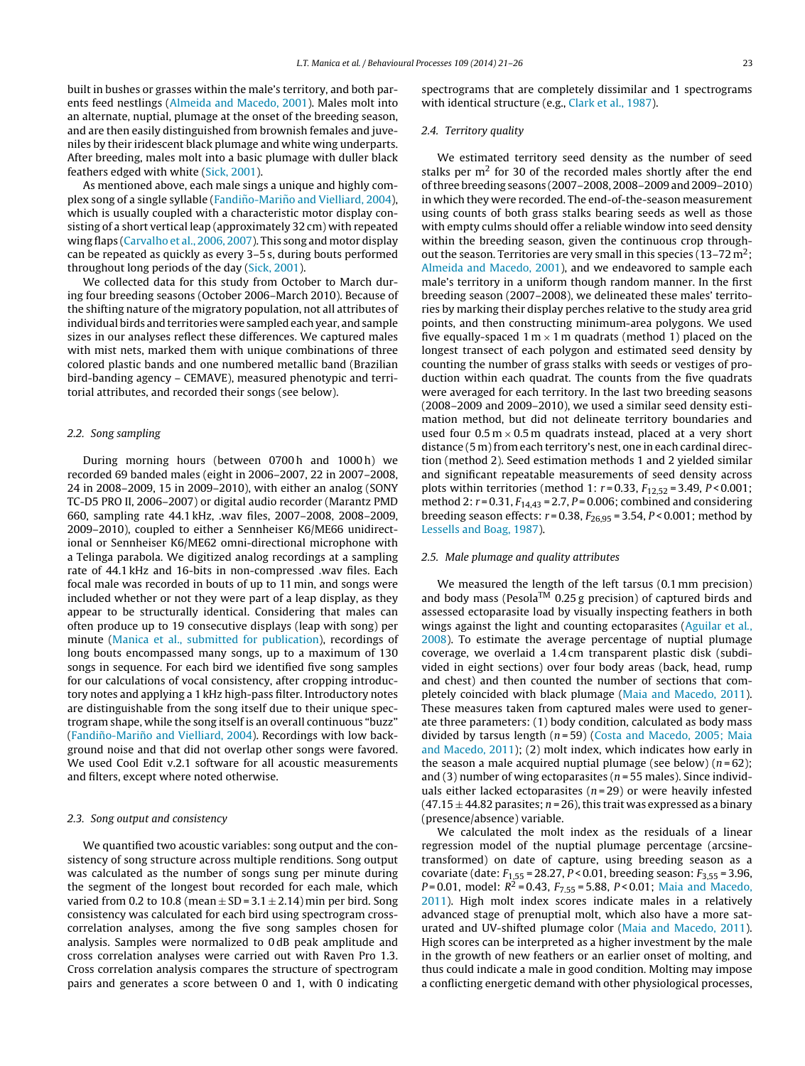built in bushes or grasses within the male's territory, and both parents feed nestlings ([Almeida](#page-4-0) [and](#page-4-0) [Macedo,](#page-4-0) [2001\).](#page-4-0) Males molt into an alternate, nuptial, plumage at the onset of the breeding season, and are then easily distinguished from brownish females and juveniles by their iridescent black plumage and white wing underparts. After breeding, males molt into a basic plumage with duller black feathers edged with white ([Sick,](#page-5-0) [2001\).](#page-5-0)

As mentioned above, each male sings a unique and highly complex song of a single syllable (F[and](#page-5-0)iño-Mariño and [Vielliard,](#page-5-0) [2004\),](#page-5-0) which is usually coupled with a characteristic motor display consisting of a short vertical leap (approximately 32 cm) with repeated wing flaps ([Carvalho](#page-5-0) et [al.,](#page-5-0) [2006,](#page-5-0) [2007\).](#page-5-0) This song and motor display can be repeated as quickly as every 3–5 s, during bouts performed throughout long periods of the day ([Sick,](#page-5-0) [2001\).](#page-5-0)

We collected data for this study from October to March during four breeding seasons (October 2006–March 2010). Because of the shifting nature of the migratory population, not all attributes of individual birds and territories were sampled each year, and sample sizes in our analyses reflect these differences. We captured males with mist nets, marked them with unique combinations of three colored plastic bands and one numbered metallic band (Brazilian bird-banding agency – CEMAVE), measured phenotypic and territorial attributes, and recorded their songs (see below).

## 2.2. Song sampling

During morning hours (between 0700h and 1000h) we recorded 69 banded males (eight in 2006–2007, 22 in 2007–2008, 24 in 2008–2009, 15 in 2009–2010), with either an analog (SONY TC-D5 PRO II, 2006–2007) or digital audio recorder (Marantz PMD 660, sampling rate 44.1 kHz, .wav files, 2007–2008, 2008–2009, 2009–2010), coupled to either a Sennheiser K6/ME66 unidirectional or Sennheiser K6/ME62 omni-directional microphone with a Telinga parabola. We digitized analog recordings at a sampling rate of 44.1 kHz and 16-bits in non-compressed .wav files. Each focal male was recorded in bouts of up to 11 min, and songs were included whether or not they were part of a leap display, as they appear to be structurally identical. Considering that males can often produce up to 19 consecutive displays (leap with song) per minute [\(Manica](#page-5-0) et [al.,](#page-5-0) [submitted](#page-5-0) [for](#page-5-0) [publication\),](#page-5-0) recordings of long bouts encompassed many songs, up to a maximum of 130 songs in sequence. For each bird we identified five song samples for our calculations of vocal consistency, after cropping introductory notes and applying a 1 kHz high-pass filter. Introductory notes are distinguishable from the song itself due to their unique spectrogram shape, while the song itself is an overall continuous "buzz" (F[and](#page-5-0)iño-Mariño and [Vielliard,](#page-5-0) [2004\).](#page-5-0) Recordings with low background noise and that did not overlap other songs were favored. We used Cool Edit v.2.1 software for all acoustic measurements and filters, except where noted otherwise.

## 2.3. Song output and consistency

We quantified two acoustic variables: song output and the consistency of song structure across multiple renditions. Song output was calculated as the number of songs sung per minute during the segment of the longest bout recorded for each male, which varied from 0.2 to 10.8 (mean  $\pm$  SD = 3.1  $\pm$  2.14) min per bird. Song consistency was calculated for each bird using spectrogram crosscorrelation analyses, among the five song samples chosen for analysis. Samples were normalized to 0 dB peak amplitude and cross correlation analyses were carried out with Raven Pro 1.3. Cross correlation analysis compares the structure of spectrogram pairs and generates a score between 0 and 1, with 0 indicating spectrograms that are completely dissimilar and 1 spectrograms with identical structure (e.g., [Clark](#page-5-0) et [al.,](#page-5-0) [1987\).](#page-5-0)

## 2.4. Territory quality

We estimated territory seed density as the number of seed stalks per  $m<sup>2</sup>$  for 30 of the recorded males shortly after the end ofthree breeding seasons (2007–2008, 2008–2009 and 2009–2010) in which they were recorded. The end-of-the-season measurement using counts of both grass stalks bearing seeds as well as those with empty culms should offer a reliable window into seed density within the breeding season, given the continuous crop throughout the season. Territories are very small in this species ( $13-72 \text{ m}^2$ ; [Almeida](#page-4-0) [and](#page-4-0) [Macedo,](#page-4-0) [2001\),](#page-4-0) and we endeavored to sample each male's territory in a uniform though random manner. In the first breeding season (2007–2008), we delineated these males' territories by marking their display perches relative to the study area grid points, and then constructing minimum-area polygons. We used five equally-spaced  $1 \text{ m} \times 1 \text{ m}$  quadrats (method 1) placed on the longest transect of each polygon and estimated seed density by counting the number of grass stalks with seeds or vestiges of production within each quadrat. The counts from the five quadrats were averaged for each territory. In the last two breeding seasons (2008–2009 and 2009–2010), we used a similar seed density estimation method, but did not delineate territory boundaries and used four  $0.5 \text{ m} \times 0.5 \text{ m}$  quadrats instead, placed at a very short distance (5 m) from each territory's nest, one in each cardinal direction (method 2). Seed estimation methods 1 and 2 yielded similar and significant repeatable measurements of seed density across plots within territories (method 1:  $r = 0.33$ ,  $F_{12,52} = 3.49$ ,  $P < 0.001$ ; method 2:  $r = 0.31$ ,  $F_{14,43} = 2.7$ ,  $P = 0.006$ ; combined and considering breeding season effects:  $r = 0.38$ ,  $F_{26.95} = 3.54$ ,  $P < 0.001$ ; method by [Lessells](#page-5-0) [and](#page-5-0) [Boag,](#page-5-0) [1987\).](#page-5-0)

#### 2.5. Male plumage and quality attributes

We measured the length of the left tarsus (0.1 mm precision) and body mass (Pesola<sup>TM</sup> 0.25 g precision) of captured birds and assessed ectoparasite load by visually inspecting feathers in both wings against the light and counting ectoparasites ([Aguilar](#page-4-0) [et](#page-4-0) [al](#page-4-0)., [2008\).](#page-4-0) To estimate the average percentage of nuptial plumage coverage, we overlaid a 1.4 cm transparent plastic disk (subdivided in eight sections) over four body areas (back, head, rump and chest) and then counted the number of sections that completely coincided with black plumage [\(Maia](#page-5-0) [and](#page-5-0) [Macedo,](#page-5-0) [2011\).](#page-5-0) These measures taken from captured males were used to generate three parameters: (1) body condition, calculated as body mass divided by tarsus length  $(n=59)$  ([Costa](#page-5-0) [and](#page-5-0) [Macedo,](#page-5-0) [2005;](#page-5-0) [Maia](#page-5-0) [and](#page-5-0) [Macedo,](#page-5-0) [2011\);](#page-5-0) (2) molt index, which indicates how early in the season a male acquired nuptial plumage (see below)  $(n=62)$ ; and (3) number of wing ectoparasites ( $n = 55$  males). Since individuals either lacked ectoparasites ( $n = 29$ ) or were heavily infested  $(47.15 \pm 44.82 \text{ parasites}; n = 26)$ , this trait was expressed as a binary (presence/absence) variable.

We calculated the molt index as the residuals of a linear regression model of the nuptial plumage percentage (arcsinetransformed) on date of capture, using breeding season as a covariate (date:  $F_{1,55}$  = 28.27, P < 0.01, breeding season:  $F_{3,55}$  = 3.96, P = 0.01, model:  $R^2$  = 0.43,  $F_{7.55}$  = 5.88, P < 0.01; [Maia](#page-5-0) [and](#page-5-0) [Macedo,](#page-5-0) [2011\).](#page-5-0) High molt index scores indicate males in a relatively advanced stage of prenuptial molt, which also have a more saturated and UV-shifted plumage color ([Maia](#page-5-0) [and](#page-5-0) [Macedo,](#page-5-0) [2011\).](#page-5-0) High scores can be interpreted as a higher investment by the male in the growth of new feathers or an earlier onset of molting, and thus could indicate a male in good condition. Molting may impose a conflicting energetic demand with other physiological processes,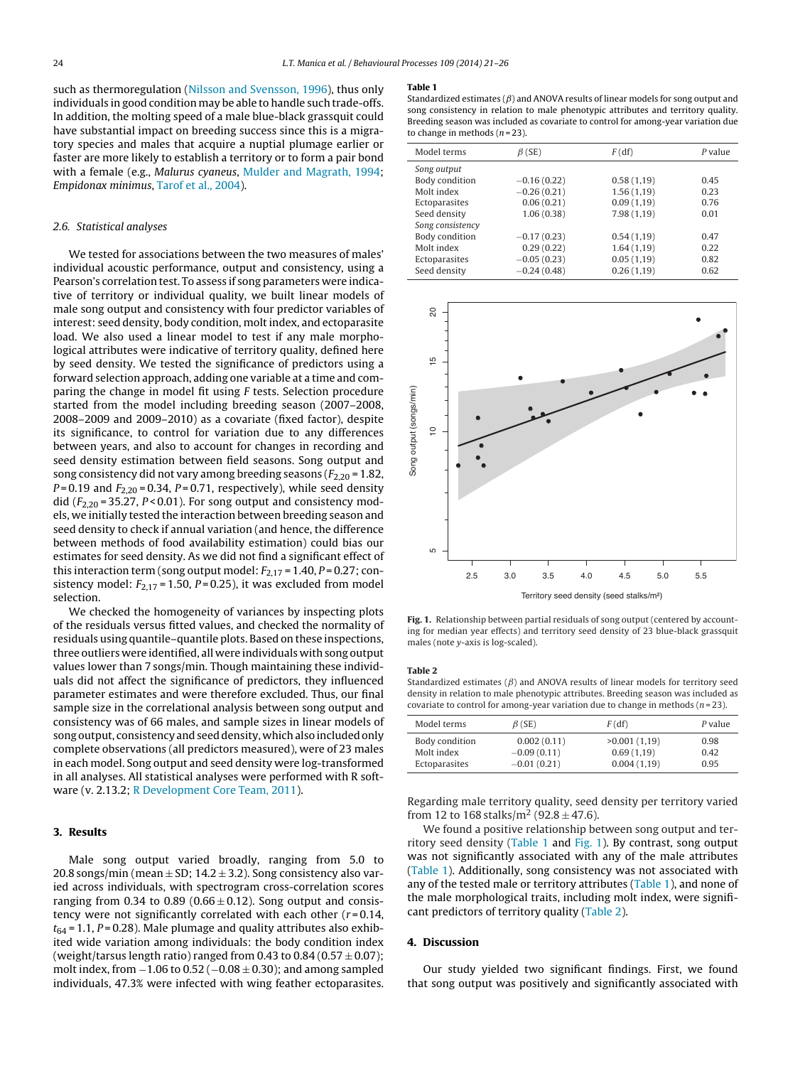such as thermoregulation ([Nilsson](#page-5-0) [and](#page-5-0) [Svensson,](#page-5-0) [1996\),](#page-5-0) thus only individuals in good condition may be able to handle such trade-offs. In addition, the molting speed of a male blue-black grassquit could have substantial impact on breeding success since this is a migratory species and males that acquire a nuptial plumage earlier or faster are more likely to establish a territory or to form a pair bond with a female (e.g., Malurus cyaneus, [Mulder](#page-5-0) [and](#page-5-0) [Magrath,](#page-5-0) [1994;](#page-5-0) Empidonax minimus, [Tarof](#page-5-0) et [al.,](#page-5-0) [2004\).](#page-5-0)

## 2.6. Statistical analyses

We tested for associations between the two measures of males' individual acoustic performance, output and consistency, using a Pearson's correlation test. To assess if song parameters were indicative of territory or individual quality, we built linear models of male song output and consistency with four predictor variables of interest: seed density, body condition, molt index, and ectoparasite load. We also used a linear model to test if any male morphological attributes were indicative of territory quality, defined here by seed density. We tested the significance of predictors using a forward selection approach, adding one variable at a time and comparing the change in model fit using F tests. Selection procedure started from the model including breeding season (2007–2008, 2008–2009 and 2009–2010) as a covariate (fixed factor), despite its significance, to control for variation due to any differences between years, and also to account for changes in recording and seed density estimation between field seasons. Song output and song consistency did not vary among breeding seasons ( $F_{2,20}$  = 1.82,  $P = 0.19$  and  $F_{2,20} = 0.34$ ,  $P = 0.71$ , respectively), while seed density did ( $F_{2,20}$  = 35.27, P < 0.01). For song output and consistency models, we initially tested the interaction between breeding season and seed density to check if annual variation (and hence, the difference between methods of food availability estimation) could bias our estimates for seed density. As we did not find a significant effect of this interaction term (song output model:  $F_{2,17}$  = 1.40, P = 0.27; consistency model:  $F_{2,17}$  = 1.50, P = 0.25), it was excluded from model selection.

We checked the homogeneity of variances by inspecting plots of the residuals versus fitted values, and checked the normality of residuals using quantile–quantile plots. Based on these inspections, three outliers were identified, all were individuals with song output values lower than 7 songs/min. Though maintaining these individuals did not affect the significance of predictors, they influenced parameter estimates and were therefore excluded. Thus, our final sample size in the correlational analysis between song output and consistency was of 66 males, and sample sizes in linear models of song output, consistency and seed density, which also included only complete observations (all predictors measured), were of 23 males in each model. Song output and seed density were log-transformed in all analyses. All statistical analyses were performed with R software (v. 2.13.2; [R](#page-5-0) [Development](#page-5-0) [Core](#page-5-0) [Team,](#page-5-0) [2011\).](#page-5-0)

## **3. Results**

Male song output varied broadly, ranging from 5.0 to 20.8 songs/min (mean  $\pm$  SD; 14.2  $\pm$  3.2). Song consistency also varied across individuals, with spectrogram cross-correlation scores ranging from 0.34 to 0.89 ( $0.66 \pm 0.12$ ). Song output and consistency were not significantly correlated with each other  $(r=0.14,$  $t_{64}$  = 1.1, P = 0.28). Male plumage and quality attributes also exhibited wide variation among individuals: the body condition index (weight/tarsus length ratio) ranged from 0.43 to 0.84 (0.57  $\pm$  0.07); molt index, from  $-1.06$  to  $0.52$  ( $-0.08 \pm 0.30$ ); and among sampled individuals, 47.3% were infected with wing feather ectoparasites.

#### **Table 1**

Standardized estimates ( $\beta$ ) and ANOVA results of linear models for song output and song consistency in relation to male phenotypic attributes and territory quality. Breeding season was included as covariate to control for among-year variation due to change in methods  $(n=23)$ .

| Model terms      | $\beta$ (SE)  | F(df)      | P value |
|------------------|---------------|------------|---------|
| Song output      |               |            |         |
| Body condition   | $-0.16(0.22)$ | 0.58(1,19) | 0.45    |
| Molt index       | $-0.26(0.21)$ | 1.56(1,19) | 0.23    |
| Ectoparasites    | 0.06(0.21)    | 0.09(1,19) | 0.76    |
| Seed density     | 1.06(0.38)    | 7.98(1,19) | 0.01    |
| Song consistency |               |            |         |
| Body condition   | $-0.17(0.23)$ | 0.54(1,19) | 0.47    |
| Molt index       | 0.29(0.22)    | 1.64(1,19) | 0.22    |
| Ectoparasites    | $-0.05(0.23)$ | 0.05(1,19) | 0.82    |
| Seed density     | $-0.24(0.48)$ | 0.26(1,19) | 0.62    |



**Fig. 1.** Relationship between partial residuals of song output (centered by accounting for median year effects) and territory seed density of 23 blue-black grassquit males (note y-axis is log-scaled).

# **Table 2**

Standardized estimates ( $\beta$ ) and ANOVA results of linear models for territory seed density in relation to male phenotypic attributes. Breeding season was included as covariate to control for among-year variation due to change in methods ( $n = 23$ ).

| Model terms                                   | $\beta$ (SE)                                  | F(df)                                     | P value              |
|-----------------------------------------------|-----------------------------------------------|-------------------------------------------|----------------------|
| Body condition<br>Molt index<br>Ectoparasites | 0.002(0.11)<br>$-0.09(0.11)$<br>$-0.01(0.21)$ | >0.001(1,19)<br>0.69(1,19)<br>0.004(1,19) | 0.98<br>0.42<br>0.95 |

Regarding male territory quality, seed density per territory varied from 12 to 168 stalks/m<sup>2</sup> (92.8  $\pm$  47.6).

We found a positive relationship between song output and territory seed density (Table 1 and Fig. 1). By contrast, song output was not significantly associated with any of the male attributes (Table 1). Additionally, song consistency was not associated with any of the tested male or territory attributes (Table 1), and none of the male morphological traits, including molt index, were significant predictors of territory quality (Table 2).

## **4. Discussion**

Our study yielded two significant findings. First, we found that song output was positively and significantly associated with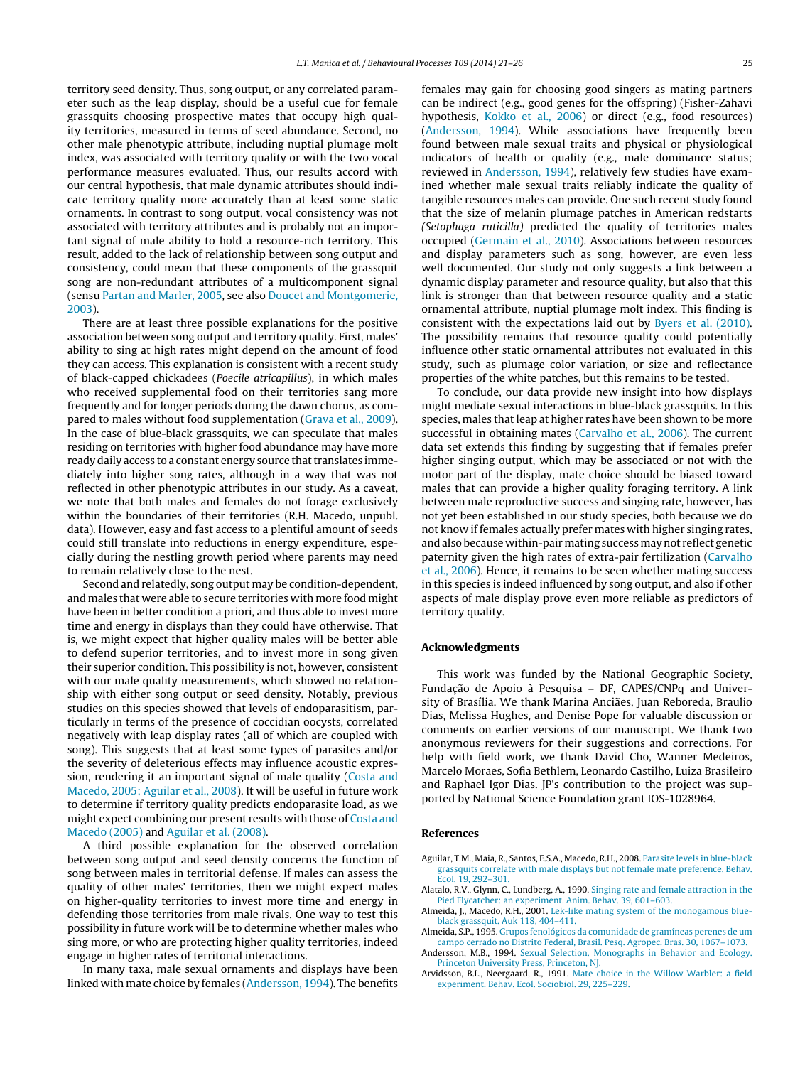<span id="page-4-0"></span>territory seed density. Thus, song output, or any correlated parameter such as the leap display, should be a useful cue for female grassquits choosing prospective mates that occupy high quality territories, measured in terms of seed abundance. Second, no other male phenotypic attribute, including nuptial plumage molt index, was associated with territory quality or with the two vocal performance measures evaluated. Thus, our results accord with our central hypothesis, that male dynamic attributes should indicate territory quality more accurately than at least some static ornaments. In contrast to song output, vocal consistency was not associated with territory attributes and is probably not an important signal of male ability to hold a resource-rich territory. This result, added to the lack of relationship between song output and consistency, could mean that these components of the grassquit song are non-redundant attributes of a multicomponent signal (sensu [Partan](#page-5-0) [and](#page-5-0) [Marler,](#page-5-0) [2005,](#page-5-0) see also [Doucet](#page-5-0) [and](#page-5-0) [Montgomerie,](#page-5-0) [2003\).](#page-5-0)

There are at least three possible explanations for the positive association between song output and territory quality. First, males' ability to sing at high rates might depend on the amount of food they can access. This explanation is consistent with a recent study of black-capped chickadees (Poecile atricapillus), in which males who received supplemental food on their territories sang more frequently and for longer periods during the dawn chorus, as compared to males without food supplementation [\(Grava](#page-5-0) et [al.,](#page-5-0) [2009\).](#page-5-0) In the case of blue-black grassquits, we can speculate that males residing on territories with higher food abundance may have more ready daily access to a constant energy source that translates immediately into higher song rates, although in a way that was not reflected in other phenotypic attributes in our study. As a caveat, we note that both males and females do not forage exclusively within the boundaries of their territories (R.H. Macedo, unpubl. data). However, easy and fast access to a plentiful amount of seeds could still translate into reductions in energy expenditure, especially during the nestling growth period where parents may need to remain relatively close to the nest.

Second and relatedly, song output may be condition-dependent, and males that were able to secure territories with more food might have been in better condition a priori, and thus able to invest more time and energy in displays than they could have otherwise. That is, we might expect that higher quality males will be better able to defend superior territories, and to invest more in song given their superior condition. This possibility is not, however, consistent with our male quality measurements, which showed no relationship with either song output or seed density. Notably, previous studies on this species showed that levels of endoparasitism, particularly in terms of the presence of coccidian oocysts, correlated negatively with leap display rates (all of which are coupled with song). This suggests that at least some types of parasites and/or the severity of deleterious effects may influence acoustic expression, rendering it an important signal of male quality [\(Costa](#page-5-0) [and](#page-5-0) [Macedo,](#page-5-0) [2005;](#page-5-0) [Aguilar](#page-5-0) et [al.,](#page-5-0) [2008\).](#page-5-0) It will be useful in future work to determine if territory quality predicts endoparasite load, as we might expect combining our present results with those of [Costa](#page-5-0) [and](#page-5-0) [Macedo](#page-5-0) [\(2005\)](#page-5-0) and Aguilar et al. (2008).

A third possible explanation for the observed correlation between song output and seed density concerns the function of song between males in territorial defense. If males can assess the quality of other males' territories, then we might expect males on higher-quality territories to invest more time and energy in defending those territories from male rivals. One way to test this possibility in future work will be to determine whether males who sing more, or who are protecting higher quality territories, indeed engage in higher rates of territorial interactions.

In many taxa, male sexual ornaments and displays have been linked with mate choice by females (Andersson, 1994). The benefits females may gain for choosing good singers as mating partners can be indirect (e.g., good genes for the offspring) (Fisher-Zahavi hypothesis, [Kokko](#page-5-0) et [al.,](#page-5-0) [2006\)](#page-5-0) or direct (e.g., food resources) (Andersson, 1994). While associations have frequently been found between male sexual traits and physical or physiological indicators of health or quality (e.g., male dominance status; reviewed in Andersson, 1994), relatively few studies have examined whether male sexual traits reliably indicate the quality of tangible resources males can provide. One such recent study found that the size of melanin plumage patches in American redstarts (Setophaga ruticilla) predicted the quality of territories males occupied ([Germain](#page-5-0) et [al.,](#page-5-0) [2010\).](#page-5-0) Associations between resources and display parameters such as song, however, are even less well documented. Our study not only suggests a link between a dynamic display parameter and resource quality, but also that this link is stronger than that between resource quality and a static ornamental attribute, nuptial plumage molt index. This finding is consistent with the expectations laid out by [Byers](#page-5-0) et [al.](#page-5-0) [\(2010\).](#page-5-0) The possibility remains that resource quality could potentially influence other static ornamental attributes not evaluated in this study, such as plumage color variation, or size and reflectance properties of the white patches, but this remains to be tested.

To conclude, our data provide new insight into how displays might mediate sexual interactions in blue-black grassquits. In this species, males that leap at higher rates have been shown to be more successful in obtaining mates ([Carvalho](#page-5-0) et [al.,](#page-5-0) [2006\).](#page-5-0) The current data set extends this finding by suggesting that if females prefer higher singing output, which may be associated or not with the motor part of the display, mate choice should be biased toward males that can provide a higher quality foraging territory. A link between male reproductive success and singing rate, however, has not yet been established in our study species, both because we do not know if females actually prefer mates with higher singing rates, and also because within-pair mating success may not reflect genetic paternity given the high rates of extra-pair fertilization [\(Carvalho](#page-5-0) et [al.,](#page-5-0) [2006\).](#page-5-0) Hence, it remains to be seen whether mating success in this species is indeed influenced by song output, and also if other aspects of male display prove even more reliable as predictors of territory quality.

## **Acknowledgments**

This work was funded by the National Geographic Society, Fundação de Apoio à Pesquisa - DF, CAPES/CNPq and University of Brasília. We thank Marina Anciães, Juan Reboreda, Braulio Dias, Melissa Hughes, and Denise Pope for valuable discussion or comments on earlier versions of our manuscript. We thank two anonymous reviewers for their suggestions and corrections. For help with field work, we thank David Cho, Wanner Medeiros, Marcelo Moraes, Sofia Bethlem, Leonardo Castilho, Luiza Brasileiro and Raphael Igor Dias. JP's contribution to the project was supported by National Science Foundation grant IOS-1028964.

## **References**

- Aguilar, T.M., Maia, R., Santos, E.S.A., Macedo, R.H., 2008. [Parasite](http://refhub.elsevier.com/S0376-6357(14)00151-X/sbref0005) [levels](http://refhub.elsevier.com/S0376-6357(14)00151-X/sbref0005) [in](http://refhub.elsevier.com/S0376-6357(14)00151-X/sbref0005) [blue-black](http://refhub.elsevier.com/S0376-6357(14)00151-X/sbref0005) [grassquits](http://refhub.elsevier.com/S0376-6357(14)00151-X/sbref0005) [correlate](http://refhub.elsevier.com/S0376-6357(14)00151-X/sbref0005) [with](http://refhub.elsevier.com/S0376-6357(14)00151-X/sbref0005) [male](http://refhub.elsevier.com/S0376-6357(14)00151-X/sbref0005) [displays](http://refhub.elsevier.com/S0376-6357(14)00151-X/sbref0005) [but](http://refhub.elsevier.com/S0376-6357(14)00151-X/sbref0005) [not](http://refhub.elsevier.com/S0376-6357(14)00151-X/sbref0005) [female](http://refhub.elsevier.com/S0376-6357(14)00151-X/sbref0005) [mate](http://refhub.elsevier.com/S0376-6357(14)00151-X/sbref0005) [preference.](http://refhub.elsevier.com/S0376-6357(14)00151-X/sbref0005) [Behav.](http://refhub.elsevier.com/S0376-6357(14)00151-X/sbref0005) [Ecol.](http://refhub.elsevier.com/S0376-6357(14)00151-X/sbref0005) [19,](http://refhub.elsevier.com/S0376-6357(14)00151-X/sbref0005) [292–301.](http://refhub.elsevier.com/S0376-6357(14)00151-X/sbref0005)
- Alatalo, R.V., Glynn, C., Lundberg, A., 1990. [Singing](http://refhub.elsevier.com/S0376-6357(14)00151-X/sbref0010) [rate](http://refhub.elsevier.com/S0376-6357(14)00151-X/sbref0010) [and](http://refhub.elsevier.com/S0376-6357(14)00151-X/sbref0010) [female](http://refhub.elsevier.com/S0376-6357(14)00151-X/sbref0010) [attraction](http://refhub.elsevier.com/S0376-6357(14)00151-X/sbref0010) [in](http://refhub.elsevier.com/S0376-6357(14)00151-X/sbref0010) [the](http://refhub.elsevier.com/S0376-6357(14)00151-X/sbref0010) [Pied](http://refhub.elsevier.com/S0376-6357(14)00151-X/sbref0010) [Flycatcher:](http://refhub.elsevier.com/S0376-6357(14)00151-X/sbref0010) [an](http://refhub.elsevier.com/S0376-6357(14)00151-X/sbref0010) [experiment.](http://refhub.elsevier.com/S0376-6357(14)00151-X/sbref0010) [Anim.](http://refhub.elsevier.com/S0376-6357(14)00151-X/sbref0010) [Behav.](http://refhub.elsevier.com/S0376-6357(14)00151-X/sbref0010) [39,](http://refhub.elsevier.com/S0376-6357(14)00151-X/sbref0010) [601](http://refhub.elsevier.com/S0376-6357(14)00151-X/sbref0010)–[603.](http://refhub.elsevier.com/S0376-6357(14)00151-X/sbref0010)
- Almeida, J., Macedo, R.H., 2001. [Lek-like](http://refhub.elsevier.com/S0376-6357(14)00151-X/sbref0015) [mating](http://refhub.elsevier.com/S0376-6357(14)00151-X/sbref0015) [system](http://refhub.elsevier.com/S0376-6357(14)00151-X/sbref0015) [of](http://refhub.elsevier.com/S0376-6357(14)00151-X/sbref0015) [the](http://refhub.elsevier.com/S0376-6357(14)00151-X/sbref0015) [monogamous](http://refhub.elsevier.com/S0376-6357(14)00151-X/sbref0015) [blue](http://refhub.elsevier.com/S0376-6357(14)00151-X/sbref0015)[black](http://refhub.elsevier.com/S0376-6357(14)00151-X/sbref0015) [grassquit.](http://refhub.elsevier.com/S0376-6357(14)00151-X/sbref0015) [Auk](http://refhub.elsevier.com/S0376-6357(14)00151-X/sbref0015) [118,](http://refhub.elsevier.com/S0376-6357(14)00151-X/sbref0015) [404](http://refhub.elsevier.com/S0376-6357(14)00151-X/sbref0015)–[411.](http://refhub.elsevier.com/S0376-6357(14)00151-X/sbref0015)

Almeida, S.P., 1995. [Grupos](http://refhub.elsevier.com/S0376-6357(14)00151-X/sbref0020) [fenológicos](http://refhub.elsevier.com/S0376-6357(14)00151-X/sbref0020) [da](http://refhub.elsevier.com/S0376-6357(14)00151-X/sbref0020) [comunidade](http://refhub.elsevier.com/S0376-6357(14)00151-X/sbref0020) [de](http://refhub.elsevier.com/S0376-6357(14)00151-X/sbref0020) [gramíneas](http://refhub.elsevier.com/S0376-6357(14)00151-X/sbref0020) [perenes](http://refhub.elsevier.com/S0376-6357(14)00151-X/sbref0020) [de](http://refhub.elsevier.com/S0376-6357(14)00151-X/sbref0020) [um](http://refhub.elsevier.com/S0376-6357(14)00151-X/sbref0020) [campo](http://refhub.elsevier.com/S0376-6357(14)00151-X/sbref0020) [cerrado](http://refhub.elsevier.com/S0376-6357(14)00151-X/sbref0020) [no](http://refhub.elsevier.com/S0376-6357(14)00151-X/sbref0020) [Distrito](http://refhub.elsevier.com/S0376-6357(14)00151-X/sbref0020) [Federal,](http://refhub.elsevier.com/S0376-6357(14)00151-X/sbref0020) [Brasil.](http://refhub.elsevier.com/S0376-6357(14)00151-X/sbref0020) [Pesq.](http://refhub.elsevier.com/S0376-6357(14)00151-X/sbref0020) [Agropec.](http://refhub.elsevier.com/S0376-6357(14)00151-X/sbref0020) [Bras.](http://refhub.elsevier.com/S0376-6357(14)00151-X/sbref0020) [30,](http://refhub.elsevier.com/S0376-6357(14)00151-X/sbref0020) [1067](http://refhub.elsevier.com/S0376-6357(14)00151-X/sbref0020)–[1073.](http://refhub.elsevier.com/S0376-6357(14)00151-X/sbref0020)

Andersson, M.B., 1994. [Sexual](http://refhub.elsevier.com/S0376-6357(14)00151-X/sbref0025) [Selection.](http://refhub.elsevier.com/S0376-6357(14)00151-X/sbref0025) [Monographs](http://refhub.elsevier.com/S0376-6357(14)00151-X/sbref0025) [in](http://refhub.elsevier.com/S0376-6357(14)00151-X/sbref0025) [Behavior](http://refhub.elsevier.com/S0376-6357(14)00151-X/sbref0025) [and](http://refhub.elsevier.com/S0376-6357(14)00151-X/sbref0025) [Ecology.](http://refhub.elsevier.com/S0376-6357(14)00151-X/sbref0025) [Princeton](http://refhub.elsevier.com/S0376-6357(14)00151-X/sbref0025) [University](http://refhub.elsevier.com/S0376-6357(14)00151-X/sbref0025) [Press,](http://refhub.elsevier.com/S0376-6357(14)00151-X/sbref0025) [Princeton,](http://refhub.elsevier.com/S0376-6357(14)00151-X/sbref0025) [NJ.](http://refhub.elsevier.com/S0376-6357(14)00151-X/sbref0025)

Arvidsson, B.L., Neergaard, R., 1991. [Mate](http://refhub.elsevier.com/S0376-6357(14)00151-X/sbref0030) [choice](http://refhub.elsevier.com/S0376-6357(14)00151-X/sbref0030) [in](http://refhub.elsevier.com/S0376-6357(14)00151-X/sbref0030) [the](http://refhub.elsevier.com/S0376-6357(14)00151-X/sbref0030) [Willow](http://refhub.elsevier.com/S0376-6357(14)00151-X/sbref0030) [Warbler:](http://refhub.elsevier.com/S0376-6357(14)00151-X/sbref0030) [a](http://refhub.elsevier.com/S0376-6357(14)00151-X/sbref0030) [field](http://refhub.elsevier.com/S0376-6357(14)00151-X/sbref0030) [experiment.](http://refhub.elsevier.com/S0376-6357(14)00151-X/sbref0030) [Behav.](http://refhub.elsevier.com/S0376-6357(14)00151-X/sbref0030) [Ecol.](http://refhub.elsevier.com/S0376-6357(14)00151-X/sbref0030) [Sociobiol.](http://refhub.elsevier.com/S0376-6357(14)00151-X/sbref0030) [29,](http://refhub.elsevier.com/S0376-6357(14)00151-X/sbref0030) [225](http://refhub.elsevier.com/S0376-6357(14)00151-X/sbref0030)–[229.](http://refhub.elsevier.com/S0376-6357(14)00151-X/sbref0030)